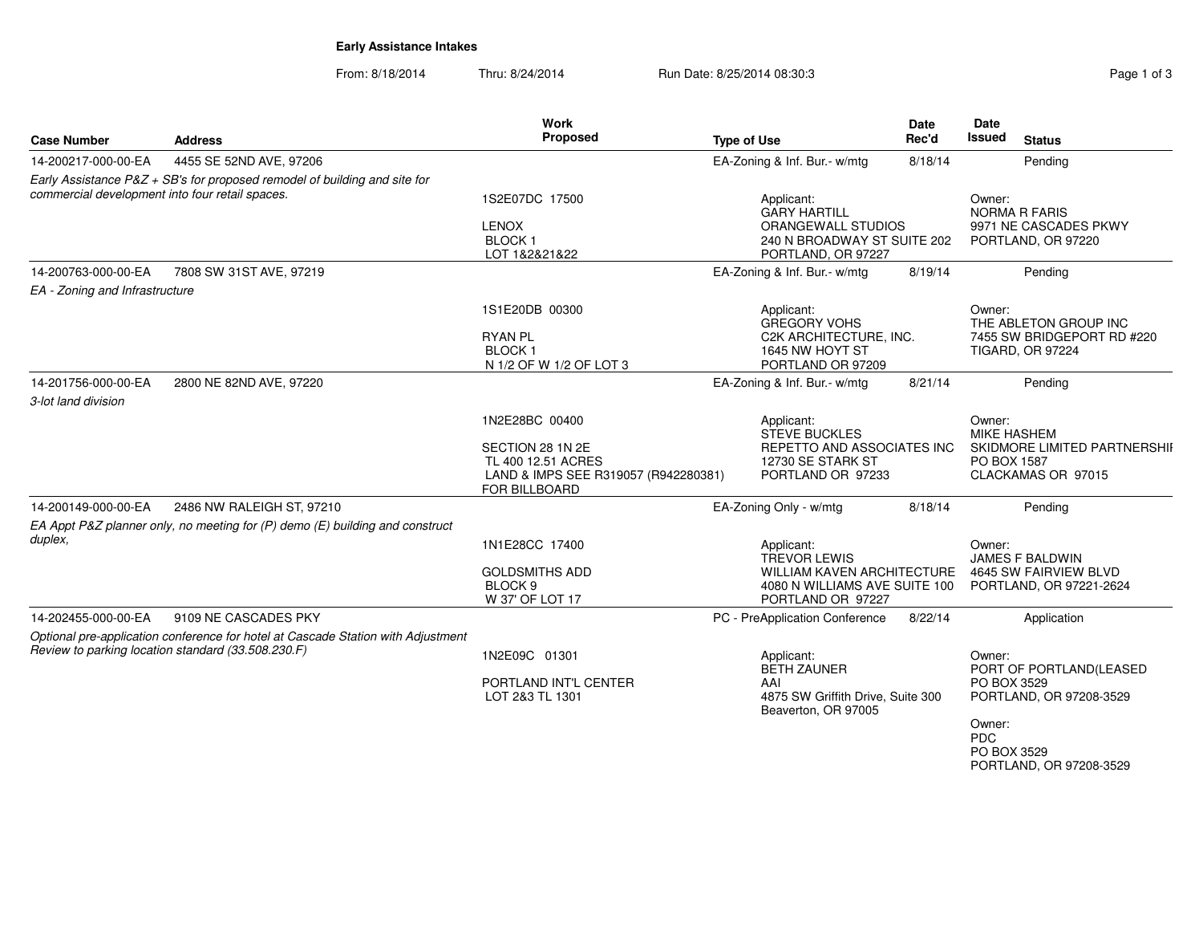# **Early Assistance Intakes**

From: 8/18/2014Thru: 8/24/2014 **Run Date: 8/25/2014 08:30:3** Pag

| Page 1 of 3 |  |  |
|-------------|--|--|
|             |  |  |

| <b>Case Number</b><br><b>Address</b>            |                                                                                                                                        | <b>Work</b><br>Proposed                                                                                           | <b>Type of Use</b>                                                                                             | <b>Date</b><br>Rec'd | Date<br><b>Issued</b><br><b>Status</b>                                                                                                        |
|-------------------------------------------------|----------------------------------------------------------------------------------------------------------------------------------------|-------------------------------------------------------------------------------------------------------------------|----------------------------------------------------------------------------------------------------------------|----------------------|-----------------------------------------------------------------------------------------------------------------------------------------------|
| 14-200217-000-00-EA                             | 4455 SE 52ND AVE, 97206                                                                                                                |                                                                                                                   | EA-Zoning & Inf. Bur.- w/mtg                                                                                   | 8/18/14              | Pending                                                                                                                                       |
| commercial development into four retail spaces. | Early Assistance P&Z + SB's for proposed remodel of building and site for                                                              | 1S2E07DC 17500<br><b>LENOX</b><br><b>BLOCK1</b>                                                                   | Applicant:<br><b>GARY HARTILL</b><br>ORANGEWALL STUDIOS<br>240 N BROADWAY ST SUITE 202                         |                      | Owner:<br><b>NORMA R FARIS</b><br>9971 NE CASCADES PKWY<br>PORTLAND, OR 97220                                                                 |
| 14-200763-000-00-EA                             | 7808 SW 31ST AVE, 97219                                                                                                                | LOT 1&2&21&22                                                                                                     | PORTLAND, OR 97227<br>EA-Zoning & Inf. Bur.- w/mtg                                                             | 8/19/14              | Pending                                                                                                                                       |
| EA - Zoning and Infrastructure                  |                                                                                                                                        |                                                                                                                   |                                                                                                                |                      |                                                                                                                                               |
|                                                 |                                                                                                                                        | 1S1E20DB 00300<br><b>RYAN PL</b><br><b>BLOCK1</b><br>N 1/2 OF W 1/2 OF LOT 3                                      | Applicant:<br><b>GREGORY VOHS</b><br>C2K ARCHITECTURE, INC.<br>1645 NW HOYT ST<br>PORTLAND OR 97209            |                      | Owner:<br>THE ABLETON GROUP INC<br>7455 SW BRIDGEPORT RD #220<br><b>TIGARD, OR 97224</b>                                                      |
| 14-201756-000-00-EA                             | 2800 NE 82ND AVE, 97220                                                                                                                |                                                                                                                   | EA-Zoning & Inf. Bur.- w/mtg                                                                                   | 8/21/14              | Pending                                                                                                                                       |
| 3-lot land division                             |                                                                                                                                        |                                                                                                                   |                                                                                                                |                      |                                                                                                                                               |
|                                                 |                                                                                                                                        | 1N2E28BC 00400<br>SECTION 28 1N 2E<br>TL 400 12.51 ACRES<br>LAND & IMPS SEE R319057 (R942280381)<br>FOR BILLBOARD | Applicant:<br><b>STEVE BUCKLES</b><br>REPETTO AND ASSOCIATES INC<br>12730 SE STARK ST<br>PORTLAND OR 97233     |                      | Owner:<br><b>MIKE HASHEM</b><br>SKIDMORE LIMITED PARTNERSHII<br>PO BOX 1587<br>CLACKAMAS OR 97015                                             |
| 14-200149-000-00-EA                             | 2486 NW RALEIGH ST, 97210                                                                                                              |                                                                                                                   | EA-Zoning Only - w/mtg                                                                                         | 8/18/14              | Pending                                                                                                                                       |
| duplex,                                         | EA Appt P&Z planner only, no meeting for (P) demo (E) building and construct                                                           | 1N1E28CC 17400<br><b>GOLDSMITHS ADD</b><br>BLOCK <sub>9</sub><br>W 37' OF LOT 17                                  | Applicant:<br>TREVOR LEWIS<br>WILLIAM KAVEN ARCHITECTURE<br>4080 N WILLIAMS AVE SUITE 100<br>PORTLAND OR 97227 |                      | Owner:<br><b>JAMES F BALDWIN</b><br>4645 SW FAIRVIEW BLVD<br>PORTLAND, OR 97221-2624                                                          |
| 14-202455-000-00-EA                             | 9109 NE CASCADES PKY                                                                                                                   |                                                                                                                   | PC - PreApplication Conference                                                                                 | 8/22/14              | Application                                                                                                                                   |
|                                                 | Optional pre-application conference for hotel at Cascade Station with Adjustment<br>Review to parking location standard (33.508.230.F) | 1N2E09C 01301<br>PORTLAND INT'L CENTER<br>LOT 2&3 TL 1301                                                         | Applicant:<br><b>BETH ZAUNER</b><br>AAI<br>4875 SW Griffith Drive, Suite 300<br>Beaverton, OR 97005            |                      | Owner:<br>PORT OF PORTLAND(LEASED<br>PO BOX 3529<br>PORTLAND, OR 97208-3529<br>Owner:<br><b>PDC</b><br>PO BOX 3529<br>PORTLAND, OR 97208-3529 |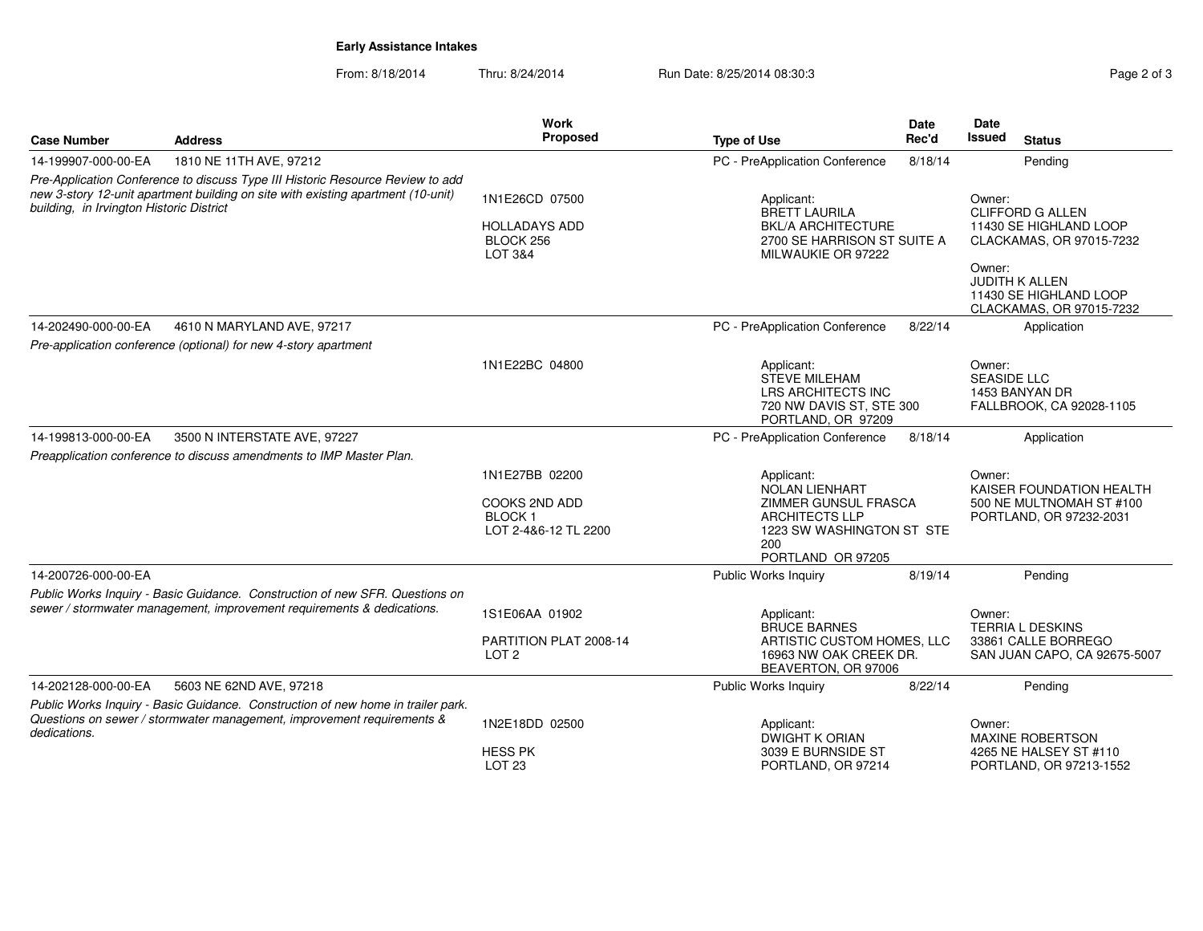# **Early Assistance Intakes**

From: 8/18/2014Thru: 8/24/2014 Run Date: 8/25/2014 08:30:3

|                                                                                                                                                                                                                |                                                                                                                                                            | <b>Work</b>                                                                     |                                                                                                                                                                              | <b>Date</b>                                                                                                                                                               | Date                         |                                                                                 |
|----------------------------------------------------------------------------------------------------------------------------------------------------------------------------------------------------------------|------------------------------------------------------------------------------------------------------------------------------------------------------------|---------------------------------------------------------------------------------|------------------------------------------------------------------------------------------------------------------------------------------------------------------------------|---------------------------------------------------------------------------------------------------------------------------------------------------------------------------|------------------------------|---------------------------------------------------------------------------------|
| <b>Case Number</b>                                                                                                                                                                                             | <b>Address</b>                                                                                                                                             | <b>Proposed</b>                                                                 | <b>Type of Use</b>                                                                                                                                                           | Rec'd                                                                                                                                                                     | <b>Issued</b>                | <b>Status</b>                                                                   |
| 14-199907-000-00-EA                                                                                                                                                                                            | 1810 NE 11TH AVE, 97212                                                                                                                                    |                                                                                 | PC - PreApplication Conference                                                                                                                                               | 8/18/14                                                                                                                                                                   |                              | Pending                                                                         |
| Pre-Application Conference to discuss Type III Historic Resource Review to add<br>new 3-story 12-unit apartment building on site with existing apartment (10-unit)<br>building, in Irvington Historic District |                                                                                                                                                            | 1N1E26CD 07500<br><b>HOLLADAYS ADD</b><br>BLOCK 256<br>LOT 3&4                  | Applicant:<br><b>BRETT LAURILA</b><br><b>BKL/A ARCHITECTURE</b><br>2700 SE HARRISON ST SUITE A<br>MILWAUKIE OR 97222                                                         | Owner:<br><b>CLIFFORD G ALLEN</b><br>11430 SE HIGHLAND LOOP<br>CLACKAMAS, OR 97015-7232<br>Owner:<br>JUDITH K ALLEN<br>11430 SE HIGHLAND LOOP<br>CLACKAMAS, OR 97015-7232 |                              |                                                                                 |
| 14-202490-000-00-EA                                                                                                                                                                                            | 4610 N MARYLAND AVE, 97217                                                                                                                                 |                                                                                 | PC - PreApplication Conference                                                                                                                                               | 8/22/14                                                                                                                                                                   |                              | Application                                                                     |
|                                                                                                                                                                                                                | Pre-application conference (optional) for new 4-story apartment                                                                                            |                                                                                 |                                                                                                                                                                              |                                                                                                                                                                           |                              |                                                                                 |
|                                                                                                                                                                                                                |                                                                                                                                                            | 1N1E22BC 04800                                                                  | Applicant:<br><b>STEVE MILEHAM</b><br>LRS ARCHITECTS INC<br>720 NW DAVIS ST. STE 300<br>PORTLAND, OR 97209                                                                   |                                                                                                                                                                           | Owner:<br><b>SEASIDE LLC</b> | 1453 BANYAN DR<br>FALLBROOK, CA 92028-1105                                      |
| 14-199813-000-00-EA                                                                                                                                                                                            | 3500 N INTERSTATE AVE, 97227                                                                                                                               |                                                                                 | PC - PreApplication Conference                                                                                                                                               | 8/18/14                                                                                                                                                                   |                              | Application                                                                     |
|                                                                                                                                                                                                                | Preapplication conference to discuss amendments to IMP Master Plan.                                                                                        |                                                                                 |                                                                                                                                                                              |                                                                                                                                                                           |                              |                                                                                 |
|                                                                                                                                                                                                                |                                                                                                                                                            | 1N1E27BB 02200<br><b>COOKS 2ND ADD</b><br><b>BLOCK1</b><br>LOT 2-4&6-12 TL 2200 | Applicant:<br><b>NOLAN LIENHART</b><br>ZIMMER GUNSUL FRASCA<br><b>ARCHITECTS LLP</b><br>1223 SW WASHINGTON ST STE<br>200<br>PORTLAND OR 97205                                |                                                                                                                                                                           | Owner:                       | KAISER FOUNDATION HEALTH<br>500 NE MULTNOMAH ST #100<br>PORTLAND, OR 97232-2031 |
| 14-200726-000-00-EA                                                                                                                                                                                            |                                                                                                                                                            |                                                                                 | <b>Public Works Inquiry</b>                                                                                                                                                  | 8/19/14                                                                                                                                                                   |                              | Pending                                                                         |
|                                                                                                                                                                                                                | Public Works Inquiry - Basic Guidance. Construction of new SFR. Questions on<br>sewer / stormwater management, improvement requirements & dedications.     | 1S1E06AA 01902<br>PARTITION PLAT 2008-14<br>LOT <sub>2</sub>                    | Applicant:<br>Owner:<br><b>BRUCE BARNES</b><br><b>TERRIA L DESKINS</b><br>ARTISTIC CUSTOM HOMES, LLC<br>33861 CALLE BORREGO<br>16963 NW OAK CREEK DR.<br>BEAVERTON, OR 97006 |                                                                                                                                                                           | SAN JUAN CAPO, CA 92675-5007 |                                                                                 |
| 14-202128-000-00-EA                                                                                                                                                                                            | 5603 NE 62ND AVE, 97218                                                                                                                                    |                                                                                 | Public Works Inquiry                                                                                                                                                         | 8/22/14                                                                                                                                                                   |                              | Pending                                                                         |
| dedications.                                                                                                                                                                                                   | Public Works Inquiry - Basic Guidance. Construction of new home in trailer park.<br>Questions on sewer / stormwater management, improvement requirements & | 1N2E18DD 02500<br><b>HESS PK</b><br>LOT <sub>23</sub>                           | Applicant:<br>DWIGHT K ORIAN<br>3039 E BURNSIDE ST<br>PORTLAND, OR 97214                                                                                                     |                                                                                                                                                                           | Owner:                       | MAXINE ROBERTSON<br>4265 NE HALSEY ST #110<br>PORTLAND, OR 97213-1552           |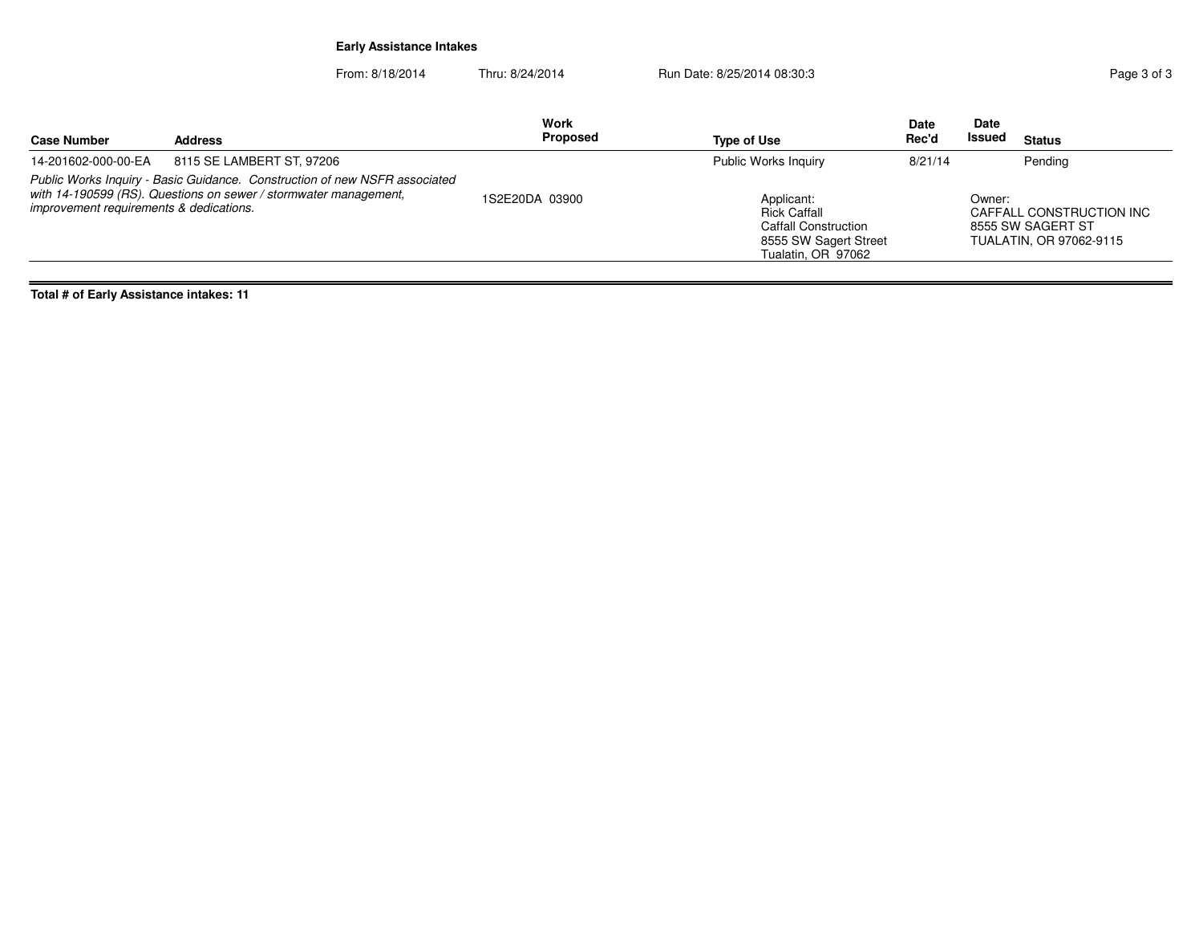# **Early Assistance Intakes**

From: 8/18/2014Thru: 8/24/2014 Run Date: 8/25/2014 08:30:3

| <b>Address</b><br><b>Case Number</b>                                                                                                                                                      | Work<br>Proposed | Type of Use                                                                                                     | <b>Date</b><br>Rec'd | <b>Date</b><br>Issued<br><b>Status</b>                                             |
|-------------------------------------------------------------------------------------------------------------------------------------------------------------------------------------------|------------------|-----------------------------------------------------------------------------------------------------------------|----------------------|------------------------------------------------------------------------------------|
| 14-201602-000-00-EA<br>8115 SE LAMBERT ST, 97206                                                                                                                                          |                  | <b>Public Works Inquiry</b>                                                                                     | 8/21/14              | Pending                                                                            |
| Public Works Inquiry - Basic Guidance. Construction of new NSFR associated<br>with 14-190599 (RS). Questions on sewer / stormwater management,<br>improvement requirements & dedications. | 1S2E20DA 03900   | Applicant:<br><b>Rick Caffall</b><br><b>Caffall Construction</b><br>8555 SW Sagert Street<br>Tualatin, OR 97062 |                      | Owner:<br>CAFFALL CONSTRUCTION INC<br>8555 SW SAGERT ST<br>TUALATIN, OR 97062-9115 |

**Total # of Early Assistance intakes: 11**

 $=$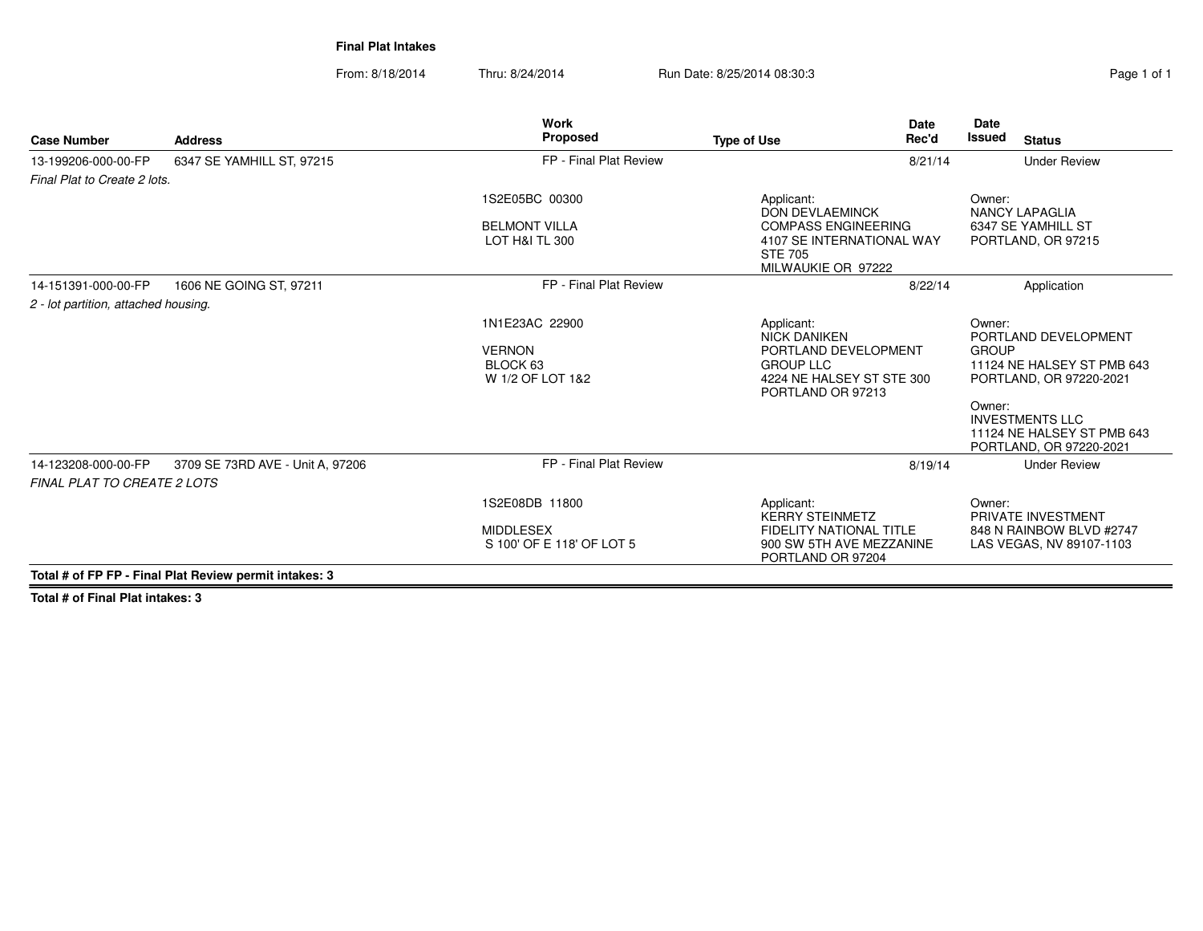**Final Plat Intakes**

From: 8/18/2014Thru: 8/24/2014 Run Date: 8/25/2014 08:30:3

| <b>Case Number</b>                                        | <b>Address</b>                                         | <b>Work</b><br>Proposed                                         | <b>Date</b><br>Rec'd<br><b>Type of Use</b>                                                                                      | Date<br><b>Issued</b><br><b>Status</b>                                                                                                                                                               |
|-----------------------------------------------------------|--------------------------------------------------------|-----------------------------------------------------------------|---------------------------------------------------------------------------------------------------------------------------------|------------------------------------------------------------------------------------------------------------------------------------------------------------------------------------------------------|
| 13-199206-000-00-FP                                       | 6347 SE YAMHILL ST, 97215                              | FP - Final Plat Review                                          | 8/21/14                                                                                                                         | <b>Under Review</b>                                                                                                                                                                                  |
| Final Plat to Create 2 lots.                              |                                                        |                                                                 |                                                                                                                                 |                                                                                                                                                                                                      |
|                                                           |                                                        | 1S2E05BC 00300                                                  | Applicant:<br><b>DON DEVLAEMINCK</b>                                                                                            | Owner:<br><b>NANCY LAPAGLIA</b>                                                                                                                                                                      |
|                                                           |                                                        | <b>BELMONT VILLA</b><br>LOT H&I TL 300                          | <b>COMPASS ENGINEERING</b><br>4107 SE INTERNATIONAL WAY<br><b>STE 705</b><br>MILWAUKIE OR 97222                                 | 6347 SE YAMHILL ST<br>PORTLAND, OR 97215                                                                                                                                                             |
| 14-151391-000-00-FP                                       | 1606 NE GOING ST, 97211                                | FP - Final Plat Review                                          | 8/22/14                                                                                                                         | Application                                                                                                                                                                                          |
| 2 - lot partition, attached housing.                      |                                                        |                                                                 |                                                                                                                                 |                                                                                                                                                                                                      |
|                                                           |                                                        | 1N1E23AC 22900<br><b>VERNON</b><br>BLOCK 63<br>W 1/2 OF LOT 1&2 | Applicant:<br><b>NICK DANIKEN</b><br>PORTLAND DEVELOPMENT<br><b>GROUP LLC</b><br>4224 NE HALSEY ST STE 300<br>PORTLAND OR 97213 | Owner:<br>PORTLAND DEVELOPMENT<br><b>GROUP</b><br>11124 NE HALSEY ST PMB 643<br>PORTLAND, OR 97220-2021<br>Owner:<br><b>INVESTMENTS LLC</b><br>11124 NE HALSEY ST PMB 643<br>PORTLAND, OR 97220-2021 |
| 14-123208-000-00-FP<br><b>FINAL PLAT TO CREATE 2 LOTS</b> | 3709 SE 73RD AVE - Unit A, 97206                       | FP - Final Plat Review                                          | 8/19/14                                                                                                                         | <b>Under Review</b>                                                                                                                                                                                  |
|                                                           | Total # of FP FP - Final Plat Review permit intakes: 3 | 1S2E08DB 11800<br><b>MIDDLESEX</b><br>S 100' OF E 118' OF LOT 5 | Applicant:<br><b>KERRY STEINMETZ</b><br><b>FIDELITY NATIONAL TITLE</b><br>900 SW 5TH AVE MEZZANINE<br>PORTLAND OR 97204         | Owner:<br>PRIVATE INVESTMENT<br>848 N RAINBOW BLVD #2747<br>LAS VEGAS, NV 89107-1103                                                                                                                 |

**Total # of Final Plat intakes: 3**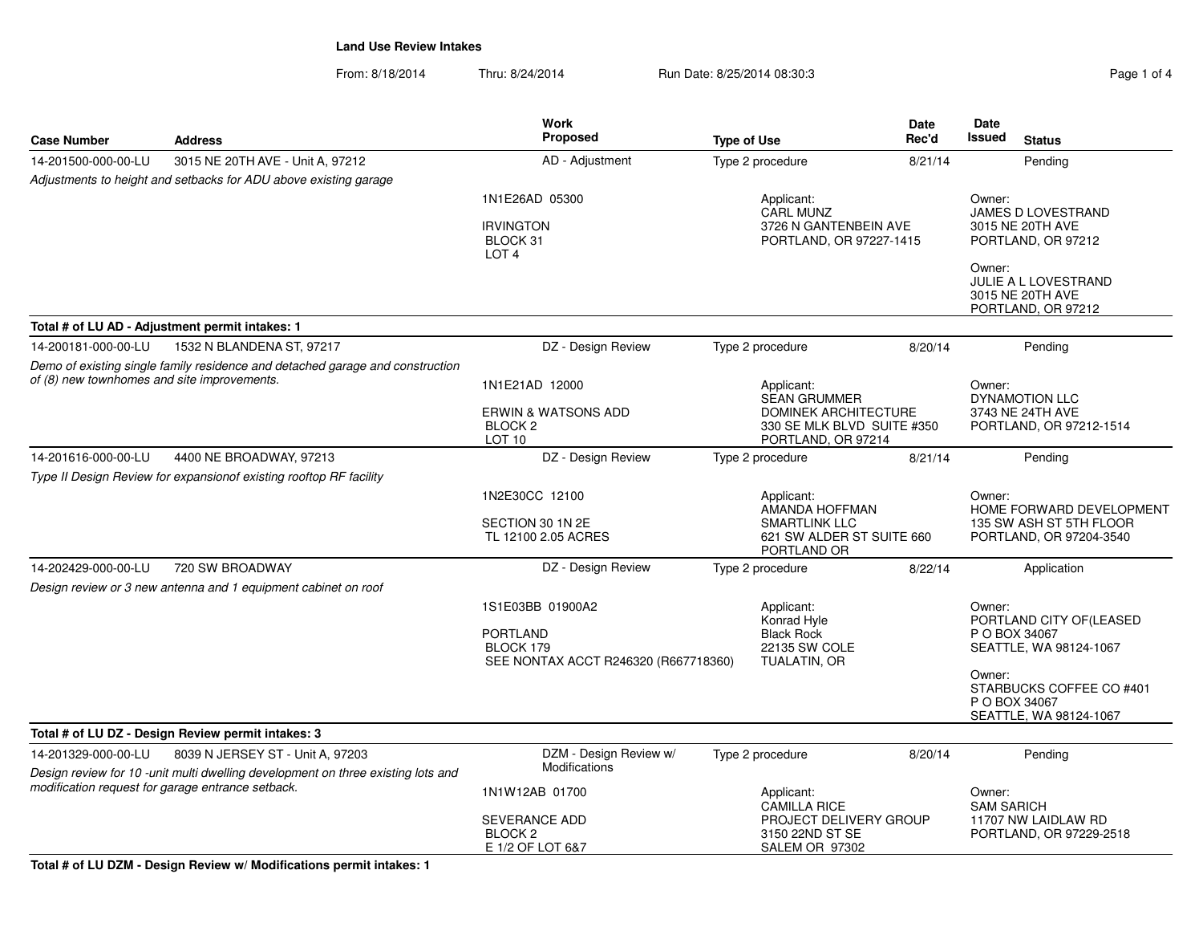From: 8/18/2014Thru: 8/24/2014 Run Date: 8/25/2014 08:30:3

| <b>Case Number</b>                                                                                                           | <b>Address</b>                                                                                                                        | <b>Work</b><br>Proposed                                                                  | <b>Type of Use</b>                                                                 | Date<br>Rec'd                                                                      | Date<br><b>Issued</b>                                               | <b>Status</b>                                                                  |
|------------------------------------------------------------------------------------------------------------------------------|---------------------------------------------------------------------------------------------------------------------------------------|------------------------------------------------------------------------------------------|------------------------------------------------------------------------------------|------------------------------------------------------------------------------------|---------------------------------------------------------------------|--------------------------------------------------------------------------------|
| 14-201500-000-00-LU                                                                                                          | 3015 NE 20TH AVE - Unit A, 97212                                                                                                      | AD - Adjustment                                                                          | Type 2 procedure                                                                   | 8/21/14                                                                            |                                                                     | Pending                                                                        |
|                                                                                                                              | Adjustments to height and setbacks for ADU above existing garage                                                                      |                                                                                          |                                                                                    |                                                                                    |                                                                     |                                                                                |
|                                                                                                                              |                                                                                                                                       | 1N1E26AD 05300                                                                           | Applicant:                                                                         |                                                                                    | Owner:                                                              |                                                                                |
|                                                                                                                              |                                                                                                                                       | <b>IRVINGTON</b><br>BLOCK 31<br>LOT <sub>4</sub>                                         |                                                                                    | <b>CARL MUNZ</b><br>3726 N GANTENBEIN AVE<br>PORTLAND, OR 97227-1415               | Owner:                                                              | JAMES D LOVESTRAND<br>3015 NE 20TH AVE<br>PORTLAND, OR 97212                   |
|                                                                                                                              |                                                                                                                                       |                                                                                          |                                                                                    |                                                                                    |                                                                     | JULIE A L LOVESTRAND<br>3015 NE 20TH AVE<br>PORTLAND, OR 97212                 |
|                                                                                                                              | Total # of LU AD - Adjustment permit intakes: 1                                                                                       |                                                                                          |                                                                                    |                                                                                    |                                                                     |                                                                                |
| 14-200181-000-00-LU                                                                                                          | 1532 N BLANDENA ST, 97217                                                                                                             | DZ - Design Review                                                                       | Type 2 procedure                                                                   | 8/20/14                                                                            |                                                                     | Pending                                                                        |
| Demo of existing single family residence and detached garage and construction<br>of (8) new townhomes and site improvements. |                                                                                                                                       | 1N1E21AD 12000                                                                           | Applicant:                                                                         | <b>SEAN GRUMMER</b>                                                                | Owner:                                                              | <b>DYNAMOTION LLC</b>                                                          |
|                                                                                                                              |                                                                                                                                       | <b>ERWIN &amp; WATSONS ADD</b><br>BLOCK <sub>2</sub><br>LOT <sub>10</sub>                |                                                                                    | <b>DOMINEK ARCHITECTURE</b><br>330 SE MLK BLVD SUITE #350<br>PORTLAND, OR 97214    |                                                                     | 3743 NE 24TH AVE<br>PORTLAND, OR 97212-1514                                    |
| 14-201616-000-00-LU                                                                                                          | 4400 NE BROADWAY, 97213<br>Type II Design Review for expansionof existing rooftop RF facility                                         | DZ - Design Review                                                                       | Type 2 procedure                                                                   | 8/21/14                                                                            |                                                                     | Pending                                                                        |
|                                                                                                                              |                                                                                                                                       | 1N2E30CC 12100<br>SECTION 30 1N 2E<br>TL 12100 2.05 ACRES                                | Applicant:                                                                         | AMANDA HOFFMAN<br><b>SMARTLINK LLC</b><br>621 SW ALDER ST SUITE 660<br>PORTLAND OR | Owner:                                                              | HOME FORWARD DEVELOPMENT<br>135 SW ASH ST 5TH FLOOR<br>PORTLAND, OR 97204-3540 |
| 14-202429-000-00-LU                                                                                                          | 720 SW BROADWAY                                                                                                                       | DZ - Design Review                                                                       | Type 2 procedure                                                                   | 8/22/14                                                                            |                                                                     | Application                                                                    |
|                                                                                                                              | Design review or 3 new antenna and 1 equipment cabinet on roof                                                                        |                                                                                          |                                                                                    |                                                                                    |                                                                     |                                                                                |
|                                                                                                                              |                                                                                                                                       | 1S1E03BB 01900A2<br><b>PORTLAND</b><br>BLOCK 179<br>SEE NONTAX ACCT R246320 (R667718360) | Applicant:                                                                         | Konrad Hyle<br><b>Black Rock</b><br>22135 SW COLE<br>TUALATIN, OR                  | Owner:                                                              | PORTLAND CITY OF (LEASED<br>P O BOX 34067<br>SEATTLE, WA 98124-1067            |
|                                                                                                                              |                                                                                                                                       |                                                                                          |                                                                                    |                                                                                    | Owner:                                                              | STARBUCKS COFFEE CO #401<br>P O BOX 34067<br>SEATTLE, WA 98124-1067            |
|                                                                                                                              | Total # of LU DZ - Design Review permit intakes: 3                                                                                    |                                                                                          |                                                                                    |                                                                                    |                                                                     |                                                                                |
| 14-201329-000-00-LU                                                                                                          | 8039 N JERSEY ST - Unit A, 97203                                                                                                      | DZM - Design Review w/                                                                   | Type 2 procedure                                                                   | 8/20/14                                                                            |                                                                     | Pending                                                                        |
|                                                                                                                              | Design review for 10 -unit multi dwelling development on three existing lots and<br>modification request for garage entrance setback. | <b>Modifications</b><br>1N1W12AB 01700                                                   | Applicant:                                                                         |                                                                                    | Owner:                                                              |                                                                                |
|                                                                                                                              |                                                                                                                                       | SEVERANCE ADD<br>BLOCK <sub>2</sub><br>E 1/2 OF LOT 6&7                                  | <b>CAMILLA RICE</b><br>PROJECT DELIVERY GROUP<br>3150 22ND ST SE<br>SALEM OR 97302 |                                                                                    | <b>SAM SARICH</b><br>11707 NW LAIDLAW RD<br>PORTLAND, OR 97229-2518 |                                                                                |

**Total # of LU DZM - Design Review w/ Modifications permit intakes: 1**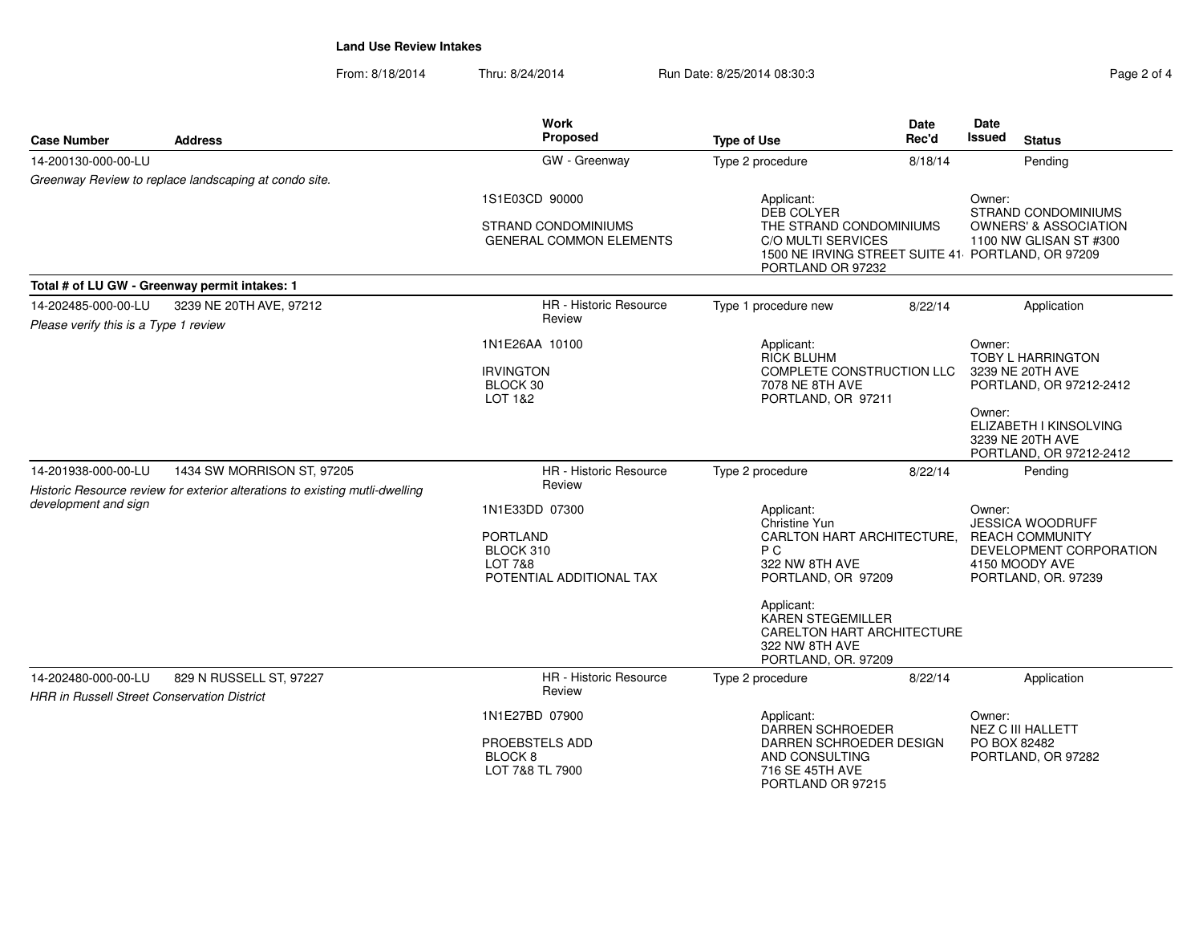From: 8/18/2014Thru: 8/24/2014 Run Date: 8/25/2014 08:30:3

| <b>Case Number</b>                                           | <b>Address</b>                                                                                             | <b>Work</b><br>Proposed                                                                          | <b>Type of Use</b>                                                                                                                                                                                                        | Date<br>Rec'd | Date<br><b>Issued</b>                                                             | <b>Status</b>                                                                                                         |
|--------------------------------------------------------------|------------------------------------------------------------------------------------------------------------|--------------------------------------------------------------------------------------------------|---------------------------------------------------------------------------------------------------------------------------------------------------------------------------------------------------------------------------|---------------|-----------------------------------------------------------------------------------|-----------------------------------------------------------------------------------------------------------------------|
| 14-200130-000-00-LU                                          |                                                                                                            | GW - Greenway                                                                                    | Type 2 procedure                                                                                                                                                                                                          | 8/18/14       |                                                                                   | Pending                                                                                                               |
|                                                              | Greenway Review to replace landscaping at condo site.                                                      |                                                                                                  |                                                                                                                                                                                                                           |               |                                                                                   |                                                                                                                       |
|                                                              |                                                                                                            | 1S1E03CD 90000<br><b>STRAND CONDOMINIUMS</b><br><b>GENERAL COMMON ELEMENTS</b>                   | Applicant:<br>DEB COLYER<br>THE STRAND CONDOMINIUMS<br>C/O MULTI SERVICES<br>1500 NE IRVING STREET SUITE 41 PORTLAND, OR 97209<br>PORTLAND OR 97232                                                                       |               | Owner:                                                                            | <b>STRAND CONDOMINIUMS</b><br><b>OWNERS' &amp; ASSOCIATION</b><br>1100 NW GLISAN ST #300                              |
|                                                              | Total # of LU GW - Greenway permit intakes: 1                                                              |                                                                                                  |                                                                                                                                                                                                                           |               |                                                                                   |                                                                                                                       |
| 14-202485-000-00-LU<br>Please verify this is a Type 1 review | 3239 NE 20TH AVE, 97212                                                                                    | <b>HR</b> - Historic Resource<br>Review                                                          | Type 1 procedure new                                                                                                                                                                                                      | 8/22/14       |                                                                                   | Application                                                                                                           |
|                                                              |                                                                                                            | 1N1E26AA 10100<br><b>IRVINGTON</b><br>BLOCK 30<br>LOT 1&2                                        | Applicant:<br><b>RICK BLUHM</b><br>COMPLETE CONSTRUCTION LLC<br>7078 NE 8TH AVE<br>PORTLAND, OR 97211                                                                                                                     |               | Owner:<br><b>TOBY L HARRINGTON</b><br>3239 NE 20TH AVE<br>PORTLAND, OR 97212-2412 |                                                                                                                       |
|                                                              |                                                                                                            |                                                                                                  |                                                                                                                                                                                                                           |               | Owner:                                                                            | ELIZABETH I KINSOLVING<br>3239 NE 20TH AVE<br>PORTLAND, OR 97212-2412                                                 |
| 14-201938-000-00-LU                                          | 1434 SW MORRISON ST, 97205<br>Historic Resource review for exterior alterations to existing mutli-dwelling | HR - Historic Resource<br>Review                                                                 | Type 2 procedure                                                                                                                                                                                                          | 8/22/14       |                                                                                   | Pending                                                                                                               |
| development and sign                                         |                                                                                                            | 1N1E33DD 07300<br><b>PORTLAND</b><br>BLOCK 310<br><b>LOT 7&amp;8</b><br>POTENTIAL ADDITIONAL TAX | Applicant:<br>Christine Yun<br>CARLTON HART ARCHITECTURE,<br>P C<br>322 NW 8TH AVE<br>PORTLAND, OR 97209<br>Applicant:<br><b>KAREN STEGEMILLER</b><br>CARELTON HART ARCHITECTURE<br>322 NW 8TH AVE<br>PORTLAND, OR. 97209 |               | Owner:                                                                            | <b>JESSICA WOODRUFF</b><br><b>REACH COMMUNITY</b><br>DEVELOPMENT CORPORATION<br>4150 MOODY AVE<br>PORTLAND, OR. 97239 |
| 14-202480-000-00-LU                                          | 829 N RUSSELL ST, 97227<br><b>HRR in Russell Street Conservation District</b>                              | HR - Historic Resource<br>Review                                                                 | Type 2 procedure                                                                                                                                                                                                          | 8/22/14       |                                                                                   | Application                                                                                                           |
|                                                              |                                                                                                            | 1N1E27BD 07900<br>PROEBSTELS ADD<br>BLOCK <sub>8</sub><br>LOT 7&8 TL 7900                        | Applicant:<br>DARREN SCHROEDER<br>DARREN SCHROEDER DESIGN<br>AND CONSULTING<br>716 SE 45TH AVE<br>PORTLAND OR 97215                                                                                                       |               | Owner:<br>PO BOX 82482                                                            | <b>NEZ C III HALLETT</b><br>PORTLAND, OR 97282                                                                        |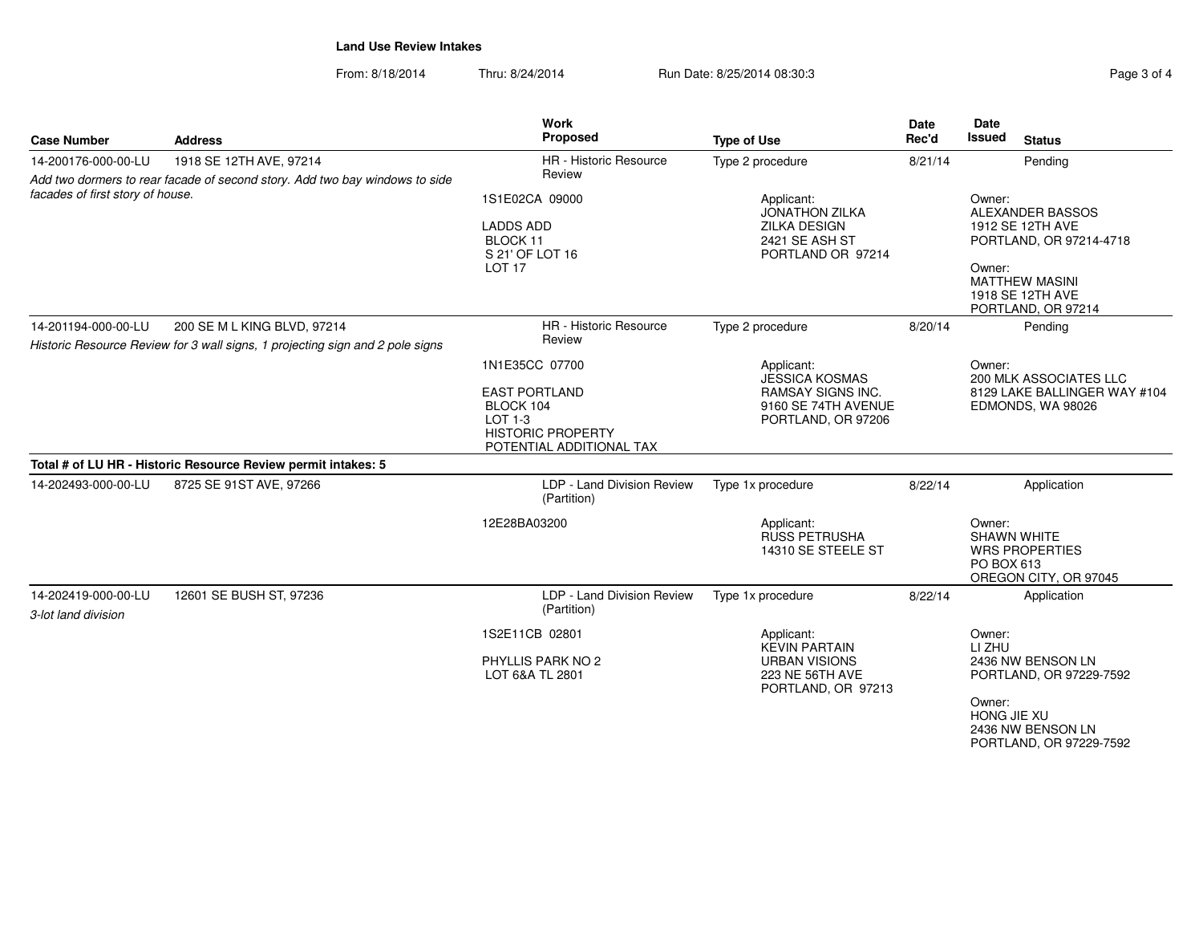From: 8/18/2014Thru: 8/24/2014 Run Date: 8/25/2014 08:30:3

PORTLAND, OR 97229-7592

| <b>Case Number</b>                         | <b>Address</b>                                                                                               | Work<br>Proposed                                                                                     | <b>Type of Use</b>                                                    | <b>Date</b><br>Rec'd | <b>Date</b><br><b>Issued</b><br><b>Status</b>                                                                                                          |  |
|--------------------------------------------|--------------------------------------------------------------------------------------------------------------|------------------------------------------------------------------------------------------------------|-----------------------------------------------------------------------|----------------------|--------------------------------------------------------------------------------------------------------------------------------------------------------|--|
| 14-200176-000-00-LU                        | 1918 SE 12TH AVE, 97214<br>Add two dormers to rear facade of second story. Add two bay windows to side       | <b>HR</b> - Historic Resource<br>Review                                                              | Type 2 procedure                                                      | 8/21/14              | Pending                                                                                                                                                |  |
| facades of first story of house.           |                                                                                                              | 1S1E02CA 09000<br><b>LADDS ADD</b><br>BLOCK 11<br>S 21' OF LOT 16<br><b>LOT 17</b>                   |                                                                       |                      | Owner:<br>ALEXANDER BASSOS<br>1912 SE 12TH AVE<br>PORTLAND, OR 97214-4718<br>Owner:<br><b>MATTHEW MASINI</b><br>1918 SE 12TH AVE<br>PORTLAND, OR 97214 |  |
| 14-201194-000-00-LU                        | 200 SE M L KING BLVD, 97214<br>Historic Resource Review for 3 wall signs, 1 projecting sign and 2 pole signs | HR - Historic Resource<br>Review                                                                     | Type 2 procedure                                                      | 8/20/14              | Pending                                                                                                                                                |  |
|                                            |                                                                                                              | 1N1E35CC 07700                                                                                       | Applicant:<br><b>JESSICA KOSMAS</b>                                   |                      | Owner:<br>200 MLK ASSOCIATES LLC                                                                                                                       |  |
|                                            |                                                                                                              | <b>EAST PORTLAND</b><br>BLOCK 104<br>LOT 1-3<br><b>HISTORIC PROPERTY</b><br>POTENTIAL ADDITIONAL TAX | <b>RAMSAY SIGNS INC.</b><br>9160 SE 74TH AVENUE<br>PORTLAND, OR 97206 |                      | 8129 LAKE BALLINGER WAY #104<br>EDMONDS, WA 98026                                                                                                      |  |
|                                            | Total # of LU HR - Historic Resource Review permit intakes: 5                                                |                                                                                                      |                                                                       |                      |                                                                                                                                                        |  |
| 14-202493-000-00-LU                        | 8725 SE 91ST AVE, 97266                                                                                      | LDP - Land Division Review<br>(Partition)                                                            | Type 1x procedure                                                     | 8/22/14              | Application                                                                                                                                            |  |
|                                            |                                                                                                              | 12E28BA03200                                                                                         | Applicant:<br><b>RUSS PETRUSHA</b><br>14310 SE STEELE ST              |                      | Owner:<br><b>SHAWN WHITE</b><br><b>WRS PROPERTIES</b><br>PO BOX 613<br>OREGON CITY, OR 97045                                                           |  |
| 14-202419-000-00-LU<br>3-lot land division | 12601 SE BUSH ST, 97236                                                                                      | LDP - Land Division Review<br>(Partition)                                                            | Type 1x procedure                                                     | 8/22/14              | Application                                                                                                                                            |  |
|                                            |                                                                                                              | 1S2E11CB 02801                                                                                       | Applicant:<br><b>KEVIN PARTAIN</b>                                    |                      | Owner:<br>LI ZHU                                                                                                                                       |  |
|                                            |                                                                                                              | PHYLLIS PARK NO 2<br>LOT 6&A TL 2801                                                                 | <b>URBAN VISIONS</b><br>223 NE 56TH AVE<br>PORTLAND, OR 97213         |                      | 2436 NW BENSON LN<br>PORTLAND, OR 97229-7592                                                                                                           |  |
|                                            |                                                                                                              |                                                                                                      |                                                                       |                      | Owner:<br>HONG JIE XU<br>2436 NW BENSON LN                                                                                                             |  |